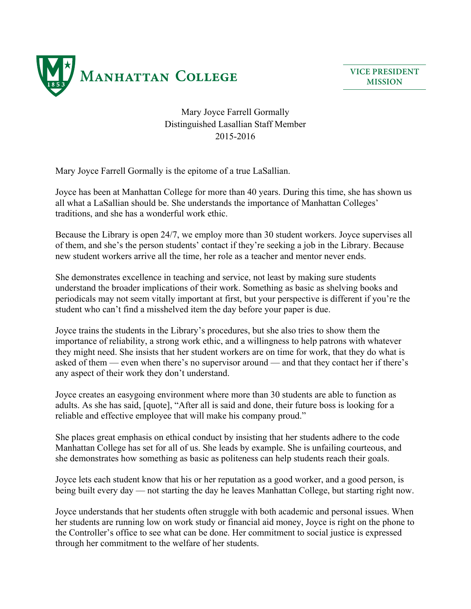

**VICE PRESIDENT MISSION**

Mary Joyce Farrell Gormally Distinguished Lasallian Staff Member 2015-2016

Mary Joyce Farrell Gormally is the epitome of a true LaSallian.

Joyce has been at Manhattan College for more than 40 years. During this time, she has shown us all what a LaSallian should be. She understands the importance of Manhattan Colleges' traditions, and she has a wonderful work ethic.

Because the Library is open 24/7, we employ more than 30 student workers. Joyce supervises all of them, and she's the person students' contact if they're seeking a job in the Library. Because new student workers arrive all the time, her role as a teacher and mentor never ends.

She demonstrates excellence in teaching and service, not least by making sure students understand the broader implications of their work. Something as basic as shelving books and periodicals may not seem vitally important at first, but your perspective is different if you're the student who can't find a misshelved item the day before your paper is due.

Joyce trains the students in the Library's procedures, but she also tries to show them the importance of reliability, a strong work ethic, and a willingness to help patrons with whatever they might need. She insists that her student workers are on time for work, that they do what is asked of them — even when there's no supervisor around — and that they contact her if there's any aspect of their work they don't understand.

Joyce creates an easygoing environment where more than 30 students are able to function as adults. As she has said, [quote], "After all is said and done, their future boss is looking for a reliable and effective employee that will make his company proud."

She places great emphasis on ethical conduct by insisting that her students adhere to the code Manhattan College has set for all of us. She leads by example. She is unfailing courteous, and she demonstrates how something as basic as politeness can help students reach their goals.

Joyce lets each student know that his or her reputation as a good worker, and a good person, is being built every day — not starting the day he leaves Manhattan College, but starting right now.

Joyce understands that her students often struggle with both academic and personal issues. When her students are running low on work study or financial aid money, Joyce is right on the phone to the Controller's office to see what can be done. Her commitment to social justice is expressed through her commitment to the welfare of her students.